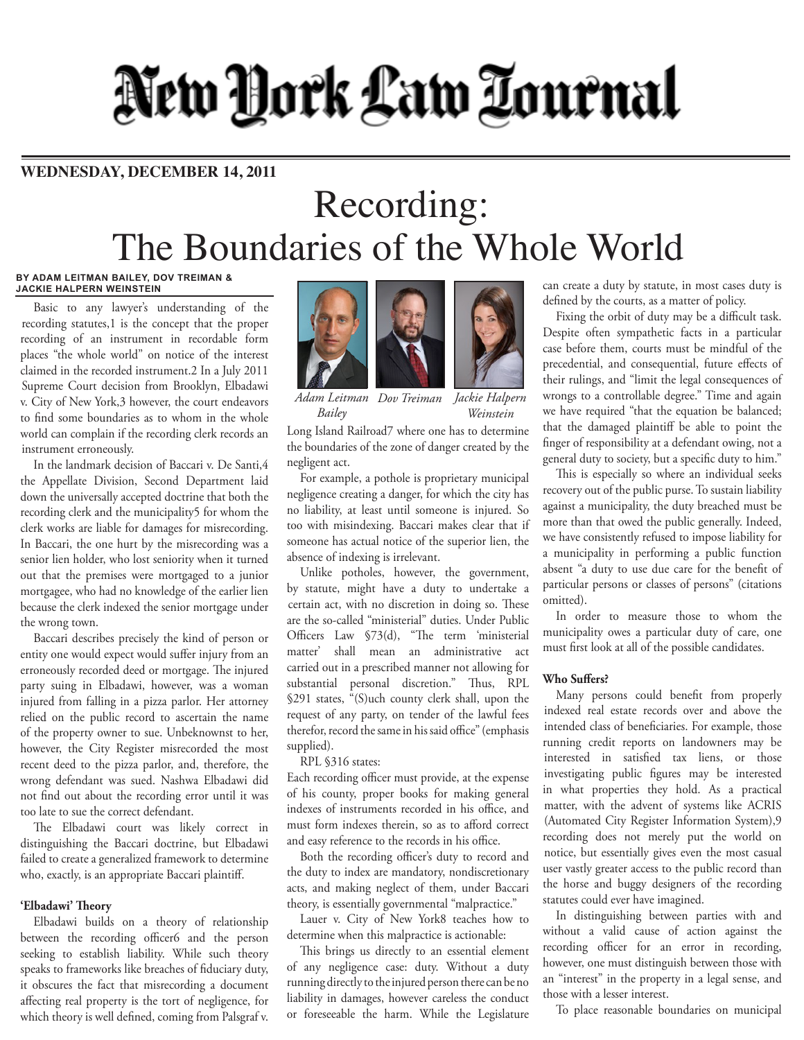# New York Law Tournal

### **WEDNESDAY, DECEMBER 14, 2011**

## Recording: The Boundaries of the Whole World

#### **BY ADAM LEITMAN BAILEY, DOV TREIMAN & JACKIE HALPERN WEINSTEIN**

Basic to any lawyer's understanding of the recording statutes,1 is the concept that the proper recording of an instrument in recordable form places "the whole world" on notice of the interest claimed in the recorded instrument.2 In a July 2011 Supreme Court decision from Brooklyn, Elbadawi v. City of New York,3 however, the court endeavors to find some boundaries as to whom in the whole world can complain if the recording clerk records an instrument erroneously.

In the landmark decision of Baccari v. De Santi,4 the Appellate Division, Second Department laid down the universally accepted doctrine that both the recording clerk and the municipality5 for whom the clerk works are liable for damages for misrecording. In Baccari, the one hurt by the misrecording was a senior lien holder, who lost seniority when it turned out that the premises were mortgaged to a junior mortgagee, who had no knowledge of the earlier lien because the clerk indexed the senior mortgage under the wrong town.

Baccari describes precisely the kind of person or entity one would expect would suffer injury from an erroneously recorded deed or mortgage. The injured party suing in Elbadawi, however, was a woman injured from falling in a pizza parlor. Her attorney relied on the public record to ascertain the name of the property owner to sue. Unbeknownst to her, however, the City Register misrecorded the most recent deed to the pizza parlor, and, therefore, the wrong defendant was sued. Nashwa Elbadawi did not find out about the recording error until it was too late to sue the correct defendant.

The Elbadawi court was likely correct in distinguishing the Baccari doctrine, but Elbadawi failed to create a generalized framework to determine who, exactly, is an appropriate Baccari plaintiff.

#### **'Elbadawi' Theory**

Elbadawi builds on a theory of relationship between the recording officer6 and the person seeking to establish liability. While such theory speaks to frameworks like breaches of fiduciary duty, it obscures the fact that misrecording a document affecting real property is the tort of negligence, for which theory is well defined, coming from Palsgraf v.



*Adam Leitman Dov Treiman Bailey Jackie Halpern Weinstein*

Long Island Railroad7 where one has to determine the boundaries of the zone of danger created by the negligent act.

For example, a pothole is proprietary municipal negligence creating a danger, for which the city has no liability, at least until someone is injured. So too with misindexing. Baccari makes clear that if someone has actual notice of the superior lien, the absence of indexing is irrelevant.

Unlike potholes, however, the government, by statute, might have a duty to undertake a certain act, with no discretion in doing so. These are the so-called "ministerial" duties. Under Public Officers Law §73(d), "The term 'ministerial matter' shall mean an administrative act carried out in a prescribed manner not allowing for substantial personal discretion." Thus, RPL §291 states, "(S)uch county clerk shall, upon the request of any party, on tender of the lawful fees therefor, record the same in his said office" (emphasis supplied).

#### RPL §316 states:

Each recording officer must provide, at the expense of his county, proper books for making general indexes of instruments recorded in his office, and must form indexes therein, so as to afford correct and easy reference to the records in his office.

Both the recording officer's duty to record and the duty to index are mandatory, nondiscretionary acts, and making neglect of them, under Baccari theory, is essentially governmental "malpractice."

Lauer v. City of New York8 teaches how to determine when this malpractice is actionable:

This brings us directly to an essential element of any negligence case: duty. Without a duty running directly to the injured person there can be no liability in damages, however careless the conduct or foreseeable the harm. While the Legislature

can create a duty by statute, in most cases duty is defined by the courts, as a matter of policy.

Fixing the orbit of duty may be a difficult task. Despite often sympathetic facts in a particular case before them, courts must be mindful of the precedential, and consequential, future effects of their rulings, and "limit the legal consequences of wrongs to a controllable degree." Time and again we have required "that the equation be balanced; that the damaged plaintiff be able to point the finger of responsibility at a defendant owing, not a general duty to society, but a specific duty to him."

This is especially so where an individual seeks recovery out of the public purse. To sustain liability against a municipality, the duty breached must be more than that owed the public generally. Indeed, we have consistently refused to impose liability for a municipality in performing a public function absent "a duty to use due care for the benefit of particular persons or classes of persons" (citations omitted).

In order to measure those to whom the municipality owes a particular duty of care, one must first look at all of the possible candidates.

#### **Who Suffers?**

Many persons could benefit from properly indexed real estate records over and above the intended class of beneficiaries. For example, those running credit reports on landowners may be interested in satisfied tax liens, or those investigating public figures may be interested in what properties they hold. As a practical matter, with the advent of systems like ACRIS (Automated City Register Information System),9 recording does not merely put the world on notice, but essentially gives even the most casual user vastly greater access to the public record than the horse and buggy designers of the recording statutes could ever have imagined.

In distinguishing between parties with and without a valid cause of action against the recording officer for an error in recording, however, one must distinguish between those with an "interest" in the property in a legal sense, and those with a lesser interest.

To place reasonable boundaries on municipal